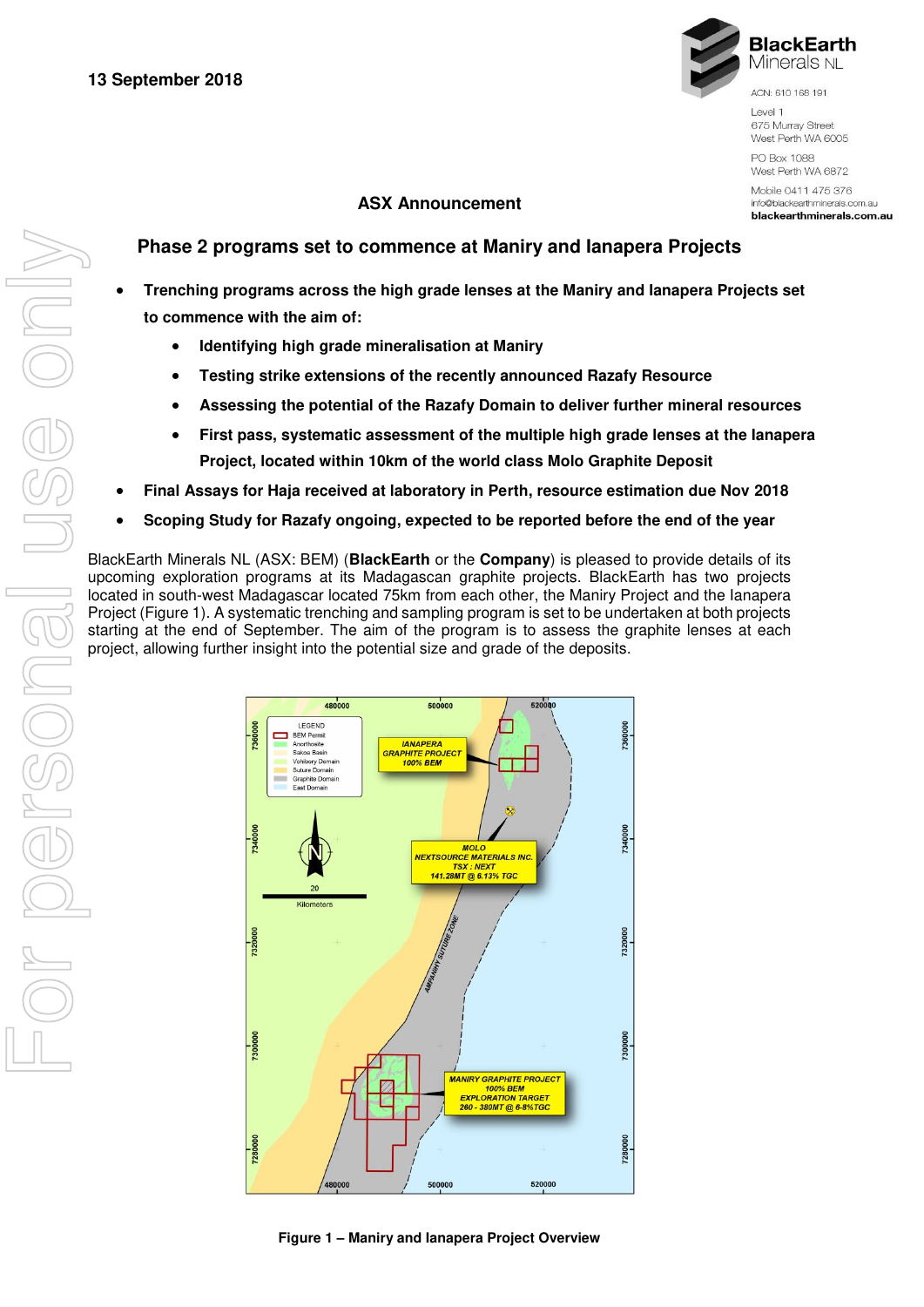

ACN: 610 168 191 Level 1 675 Murray Street West Perth WA 6005 PO Box 1088 West Perth WA 6872 Mobile 0411 475 376 info@blackeerthminerale.com.gu blackearthminerals.com.au

## **ASX Announcement**

# **Phase 2 programs set to commence at Maniry and Ianapera Projects**

- **Trenching programs across the high grade lenses at the Maniry and Ianapera Projects set to commence with the aim of:**
	- **Identifying high grade mineralisation at Maniry**
	- **Testing strike extensions of the recently announced Razafy Resource**
	- **Assessing the potential of the Razafy Domain to deliver further mineral resources**
	- **First pass, systematic assessment of the multiple high grade lenses at the Ianapera Project, located within 10km of the world class Molo Graphite Deposit**
- **Final Assays for Haja received at laboratory in Perth, resource estimation due Nov 2018**
- **Scoping Study for Razafy ongoing, expected to be reported before the end of the year**

BlackEarth Minerals NL (ASX: BEM) (**BlackEarth** or the **Company**) is pleased to provide details of its upcoming exploration programs at its Madagascan graphite projects. BlackEarth has two projects located in south-west Madagascar located 75km from each other, the Maniry Project and the Ianapera Project (Figure 1). A systematic trenching and sampling program is set to be undertaken at both projects starting at the end of September. The aim of the program is to assess the graphite lenses at each project, allowing further insight into the potential size and grade of the deposits.

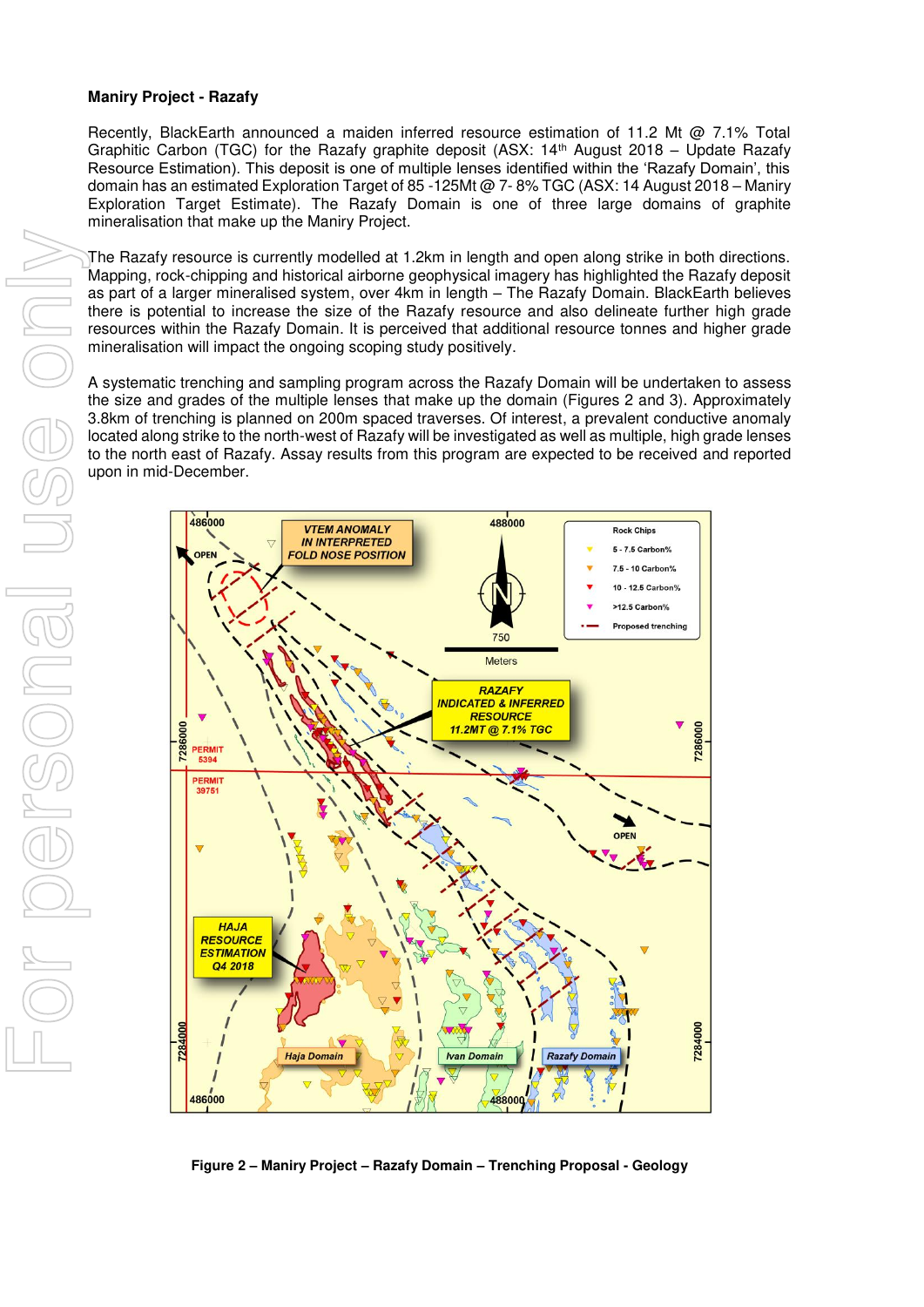#### **Maniry Project - Razafy**

Recently, BlackEarth announced a maiden inferred resource estimation of 11.2 Mt @ 7.1% Total Graphitic Carbon (TGC) for the Razafy graphite deposit (ASX: 14<sup>th</sup> August 2018 – Update Razafy Resource Estimation). This deposit is one of multiple lenses identified within the 'Razafy Domain', this domain has an estimated Exploration Target of 85 -125Mt @ 7- 8% TGC (ASX: 14 August 2018 – Maniry Exploration Target Estimate). The Razafy Domain is one of three large domains of graphite mineralisation that make up the Maniry Project.

The Razafy resource is currently modelled at 1.2km in length and open along strike in both directions. Mapping, rock-chipping and historical airborne geophysical imagery has highlighted the Razafy deposit as part of a larger mineralised system, over 4km in length – The Razafy Domain. BlackEarth believes there is potential to increase the size of the Razafy resource and also delineate further high grade resources within the Razafy Domain. It is perceived that additional resource tonnes and higher grade mineralisation will impact the ongoing scoping study positively.

A systematic trenching and sampling program across the Razafy Domain will be undertaken to assess the size and grades of the multiple lenses that make up the domain (Figures 2 and 3). Approximately 3.8km of trenching is planned on 200m spaced traverses. Of interest, a prevalent conductive anomaly located along strike to the north-west of Razafy will be investigated as well as multiple, high grade lenses to the north east of Razafy. Assay results from this program are expected to be received and reported upon in mid-December.



**Figure 2 – Maniry Project – Razafy Domain – Trenching Proposal - Geology**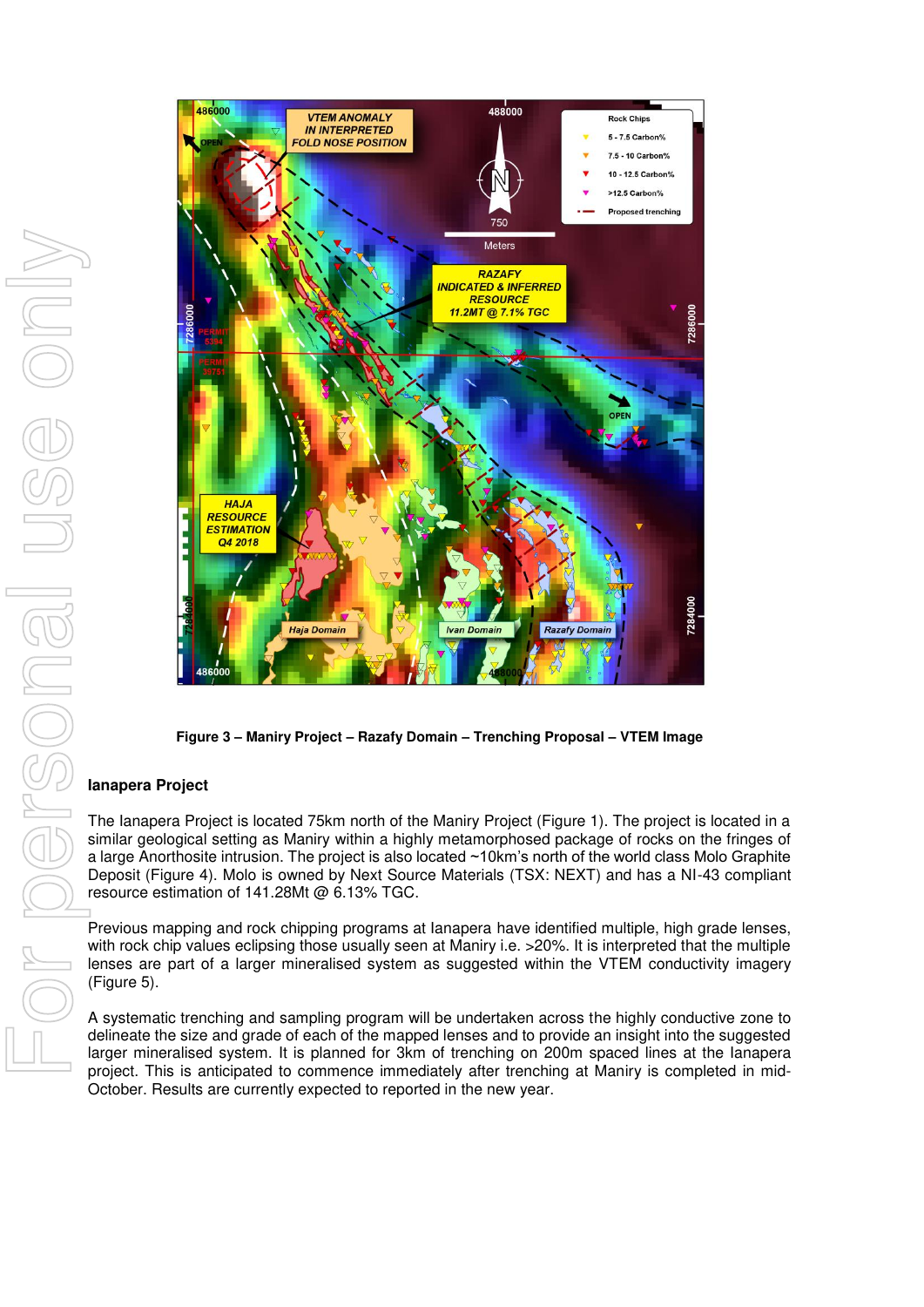

**Figure 3 – Maniry Project – Razafy Domain – Trenching Proposal – VTEM Image** 

## **Ianapera Project**

The Ianapera Project is located 75km north of the Maniry Project (Figure 1). The project is located in a similar geological setting as Maniry within a highly metamorphosed package of rocks on the fringes of a large Anorthosite intrusion. The project is also located ~10km's north of the world class Molo Graphite Deposit (Figure 4). Molo is owned by Next Source Materials (TSX: NEXT) and has a NI-43 compliant resource estimation of 141.28Mt @ 6.13% TGC.

Previous mapping and rock chipping programs at Ianapera have identified multiple, high grade lenses, with rock chip values eclipsing those usually seen at Maniry i.e. >20%. It is interpreted that the multiple lenses are part of a larger mineralised system as suggested within the VTEM conductivity imagery (Figure 5).

A systematic trenching and sampling program will be undertaken across the highly conductive zone to delineate the size and grade of each of the mapped lenses and to provide an insight into the suggested larger mineralised system. It is planned for 3km of trenching on 200m spaced lines at the Ianapera October. Results are currently expected to reported in the new year.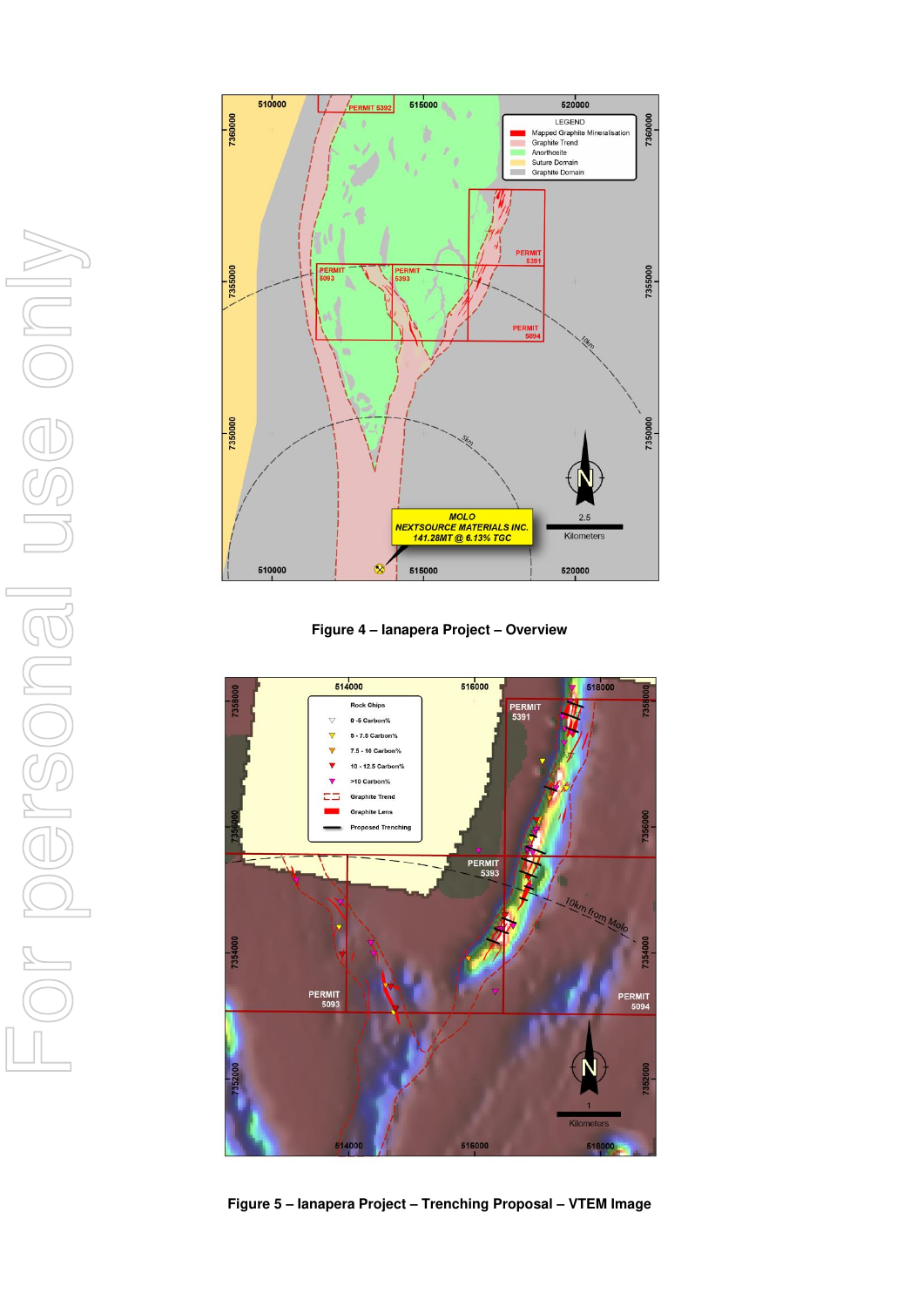

**Figure 4 – Ianapera Project – Overview** 



**Figure 5 – Ianapera Project – Trenching Proposal – VTEM Image**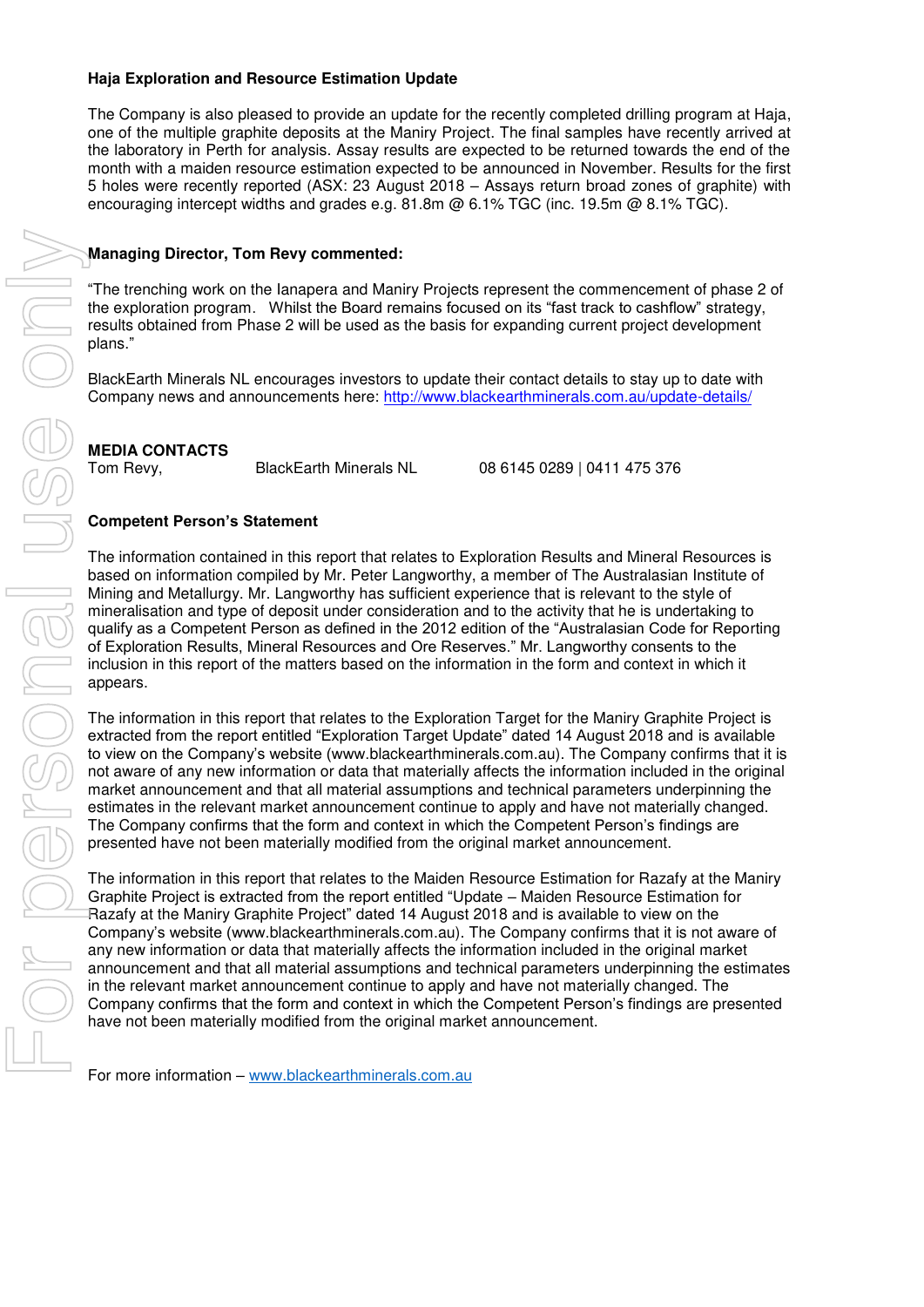### **Haja Exploration and Resource Estimation Update**

The Company is also pleased to provide an update for the recently completed drilling program at Haja, one of the multiple graphite deposits at the Maniry Project. The final samples have recently arrived at the laboratory in Perth for analysis. Assay results are expected to be returned towards the end of the month with a maiden resource estimation expected to be announced in November. Results for the first 5 holes were recently reported (ASX: 23 August 2018 – Assays return broad zones of graphite) with encouraging intercept widths and grades e.g.  $81.8m\omega$  6.1% TGC (inc. 19.5m  $\omega$  8.1% TGC).

## **Managing Director, Tom Revy commented:**

"The trenching work on the Ianapera and Maniry Projects represent the commencement of phase 2 of the exploration program. Whilst the Board remains focused on its "fast track to cashflow" strategy, results obtained from Phase 2 will be used as the basis for expanding current project development plans."

BlackEarth Minerals NL encourages investors to update their contact details to stay up to date with Company news and announcements here:<http://www.blackearthminerals.com.au/update-details/>

# **MEDIA CONTACTS**

Tom Revy, BlackEarth Minerals NL 08 6145 0289 | 0411 475 376

## **Competent Person's Statement**

The information contained in this report that relates to Exploration Results and Mineral Resources is based on information compiled by Mr. Peter Langworthy, a member of The Australasian Institute of Mining and Metallurgy. Mr. Langworthy has sufficient experience that is relevant to the style of mineralisation and type of deposit under consideration and to the activity that he is undertaking to qualify as a Competent Person as defined in the 2012 edition of the "Australasian Code for Reporting of Exploration Results, Mineral Resources and Ore Reserves." Mr. Langworthy consents to the inclusion in this report of the matters based on the information in the form and context in which it appears.

The information in this report that relates to the Exploration Target for the Maniry Graphite Project is extracted from the report entitled "Exploration Target Update" dated 14 August 2018 and is available to view on the Company's website (www.blackearthminerals.com.au). The Company confirms that it is not aware of any new information or data that materially affects the information included in the original market announcement and that all material assumptions and technical parameters underpinning the estimates in the relevant market announcement continue to apply and have not materially changed. The Company confirms that the form and context in which the Competent Person's findings are presented have not been materially modified from the original market announcement.

The information in this report that relates to the Maiden Resource Estimation for Razafy at the Maniry Graphite Project is extracted from the report entitled "Update – Maiden Resource Estimation for Razafy at the Maniry Graphite Project" dated 14 August 2018 and is available to view on the Company's website (www.blackearthminerals.com.au). The Company confirms that it is not aware of any new information or data that materially affects the information included in the original market announcement and that all material assumptions and technical parameters underpinning the estimates in the relevant market announcement continue to apply and have not materially changed. The Company confirms that the form and context in which the Competent Person's findings are presented have not been materially modified from the original market announcement.

For more information – [www.blackearthminerals.com.au](http://www.blackearthminerals.com.au/)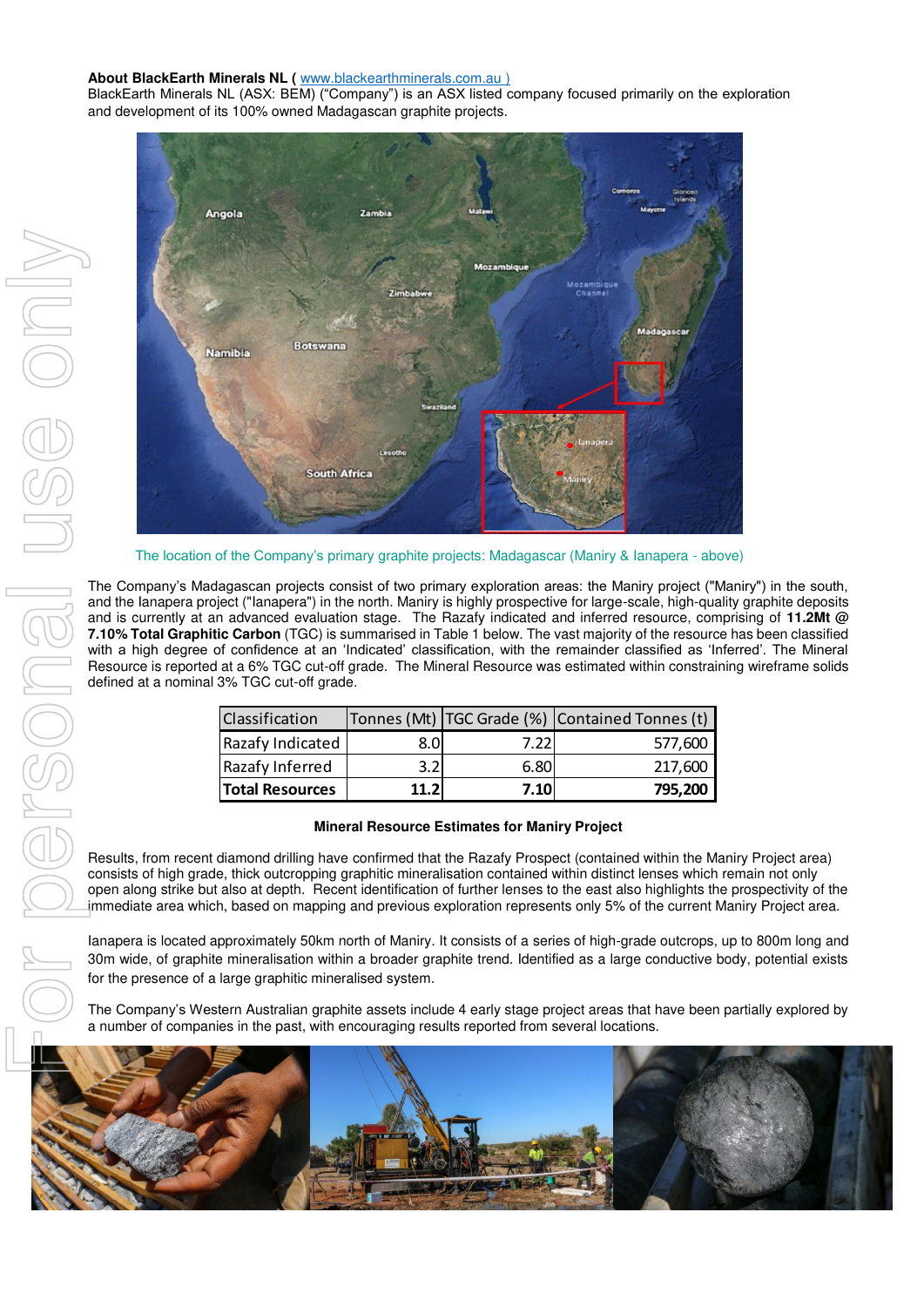#### **About BlackEarth Minerals NL (** [www.blackearthminerals.com.au \)](http://www.blackearthminerals.com.au/)

BlackEarth Minerals NL (ASX: BEM) ("Company") is an ASX listed company focused primarily on the exploration and development of its 100% owned Madagascan graphite projects.



The location of the Company's primary graphite projects: Madagascar (Maniry & Ianapera - above)

The Company's Madagascan projects consist of two primary exploration areas: the Maniry project ("Maniry") in the south, and the Ianapera project ("Ianapera") in the north. Maniry is highly prospective for large-scale, high-quality graphite deposits and is currently at an advanced evaluation stage. The Razafy indicated and inferred resource, comprising of **11.2Mt @ 7.10% Total Graphitic Carbon** (TGC) is summarised in Table 1 below. The vast majority of the resource has been classified with a high degree of confidence at an 'Indicated' classification, with the remainder classified as 'Inferred'. The Mineral Resource is reported at a 6% TGC cut-off grade. The Mineral Resource was estimated within constraining wireframe solids defined at a nominal 3% TGC cut-off grade.

| Classification         |                  |       | Tonnes (Mt) TGC Grade (%) Contained Tonnes (t) |
|------------------------|------------------|-------|------------------------------------------------|
| Razafy Indicated       | 8.OI             | 7.22. | 577,600                                        |
| Razafy Inferred        | 3.2 <sub>l</sub> | 6.80  | 217,600                                        |
| <b>Total Resources</b> | 11.2             | 7.10  | 795,200                                        |

#### **Mineral Resource Estimates for Maniry Project**

Results, from recent diamond drilling have confirmed that the Razafy Prospect (contained within the Maniry Project area) consists of high grade, thick outcropping graphitic mineralisation contained within distinct lenses which remain not only open along strike but also at depth. Recent identification of further lenses to the east also highlights the prospectivity of the immediate area which, based on mapping and previous exploration represents only 5% of the current Maniry Project area.

Ianapera is located approximately 50km north of Maniry. It consists of a series of high-grade outcrops, up to 800m long and 30m wide, of graphite mineralisation within a broader graphite trend. Identified as a large conductive body, potential exists for the presence of a large graphitic mineralised system.

The Company's Western Australian graphite assets include 4 early stage project areas that have been partially explored by a number of companies in the past, with encouraging results reported from several locations.

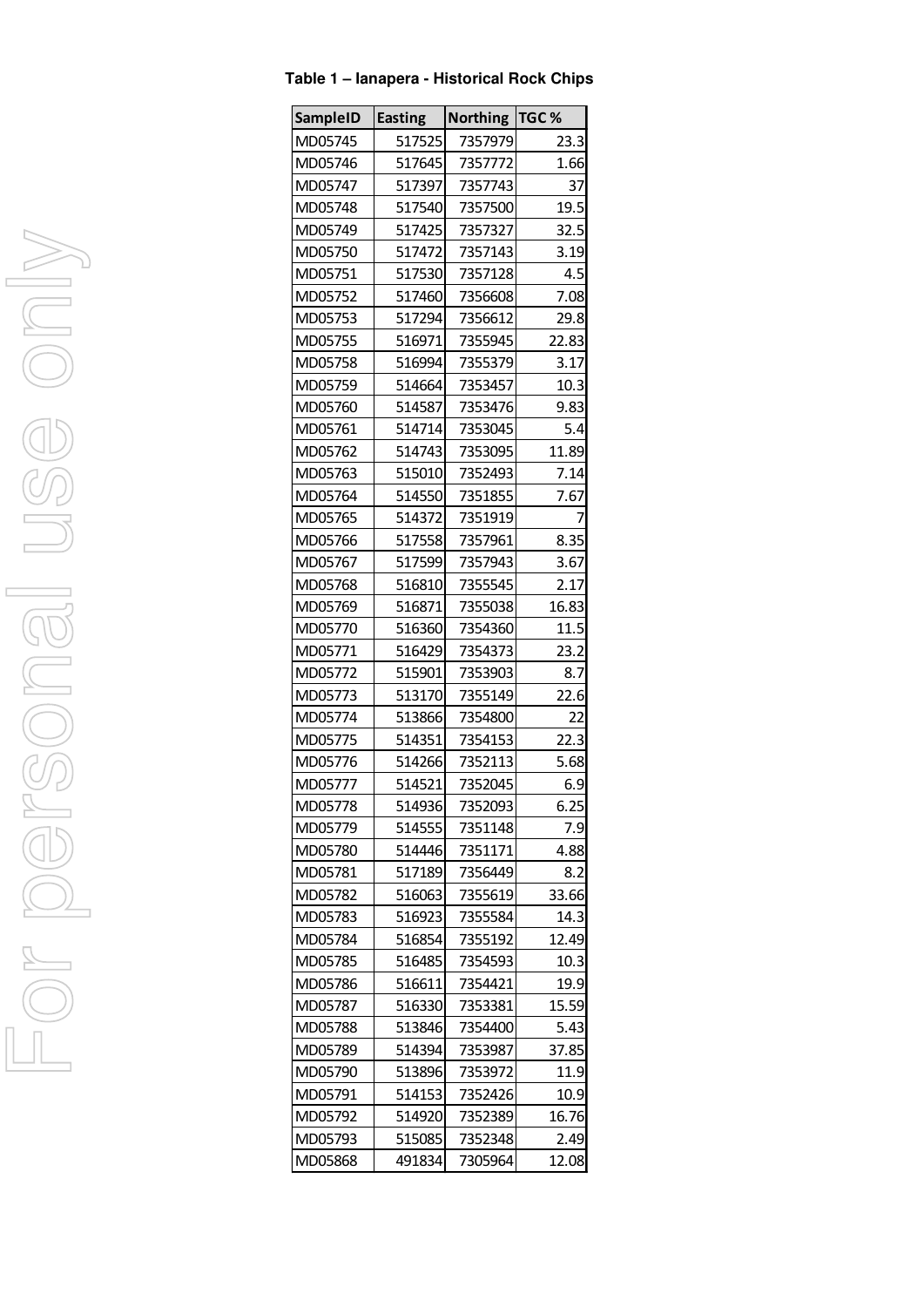| SampleID | <b>Easting</b> | Northing   TGC % |             |
|----------|----------------|------------------|-------------|
| MD05745  | 517525         | 7357979          | 23.3        |
| MD05746  | 517645         | 7357772          | 1.66        |
| MD05747  | 517397         | 7357743          | 37          |
| MD05748  | 517540         | 7357500          | 19.5        |
| MD05749  | 517425         | 7357327          | 32.5        |
| MD05750  | 517472         | 7357143          | 3.19        |
| MD05751  | 517530         | 7357128          | 4.5         |
| MD05752  | 517460         | 7356608          | 7.08        |
| MD05753  | 517294         | 7356612          | 29.8        |
| MD05755  | 516971         | 7355945          | 22.83       |
| MD05758  | 516994         | 7355379          | 3.17        |
| MD05759  | 514664         | 7353457          | 10.3        |
| MD05760  | 514587         | 7353476          | 9.83        |
| MD05761  | 514714         | 7353045          | 5.4         |
| MD05762  | 514743         | 7353095          | 11.89       |
| MD05763  | 515010         | 7352493          | 7.14        |
| MD05764  | 514550         | 7351855          | 7.67        |
| MD05765  | 514372         | 7351919          | 7           |
| MD05766  | 517558         | 7357961          | 8.35        |
| MD05767  | 517599         | 7357943          | 3.67        |
| MD05768  | 516810         | 7355545          | 2.17        |
| MD05769  | 516871         | 7355038          | 16.83       |
| MD05770  | 516360         | 7354360          | 11.5        |
| MD05771  | 516429         | 7354373          | 23.2        |
| MD05772  | 515901         | 7353903          | 8.7         |
| MD05773  | 513170         | 7355149          | 22.6        |
| MD05774  | 513866         | 7354800          | 22          |
| MD05775  | 514351         | 7354153          | 22.3        |
| MD05776  | 514266         | 7352113          | 5.68        |
| MD05777  | 514521         | 7352045          | 6.9         |
| MD05778  | 514936         | 7352093          | 6.25        |
| MD05779  | 514555         | 7351148          | 7.9         |
| MD05780  | 514446         | 7351171          | 4.88        |
| MD05781  | 517189         | 7356449          | 8.2         |
| MD05782  | 516063         | 7355619          | 33.66       |
| MD05783  | 516923         | 7355584          | 14.3        |
| MD05784  | 516854         | 7355192          | 12.49       |
| MD05785  | 516485         | 7354593          | 10.3        |
| MD05786  | 516611         | 7354421          | 19.9        |
| MD05787  | 516330         | 7353381          | 15.59       |
| MD05788  | 513846         | 7354400          | 5.43        |
| MD05789  | 514394         | 7353987          | 37.85       |
| MD05790  | 513896         | 7353972          | <u>11.9</u> |
| MD05791  | 514153         | 7352426          | 10.9        |
| MD05792  | 514920         | 7352389          | 16.76       |
| MD05793  | 515085         | 7352348          | 2.49        |
| MD05868  | 491834         | 7305964          | 12.08       |

**Table 1 – Ianapera - Historical Rock Chips**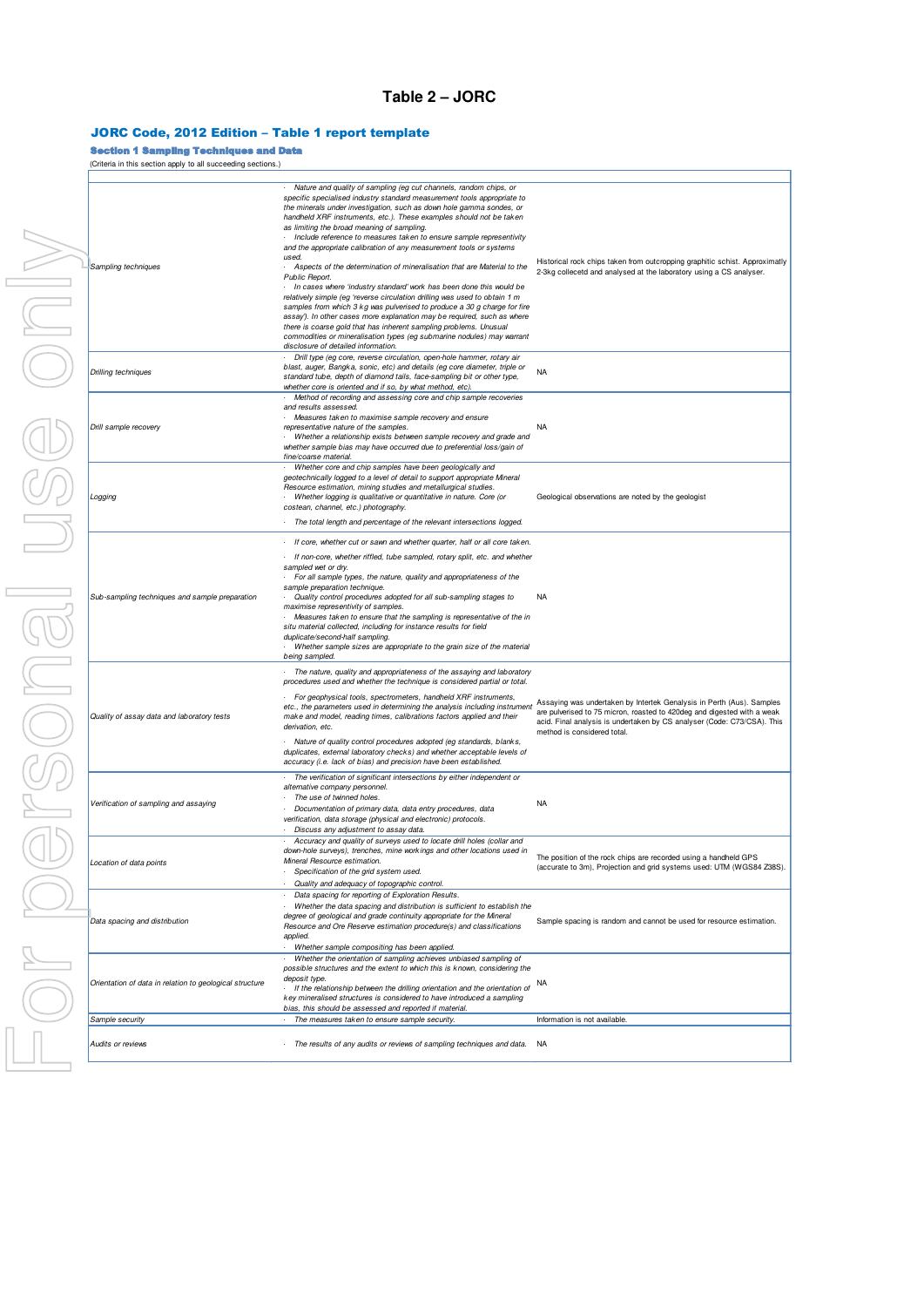### **Table 2 – JORC**

#### JORC Code, 2012 Edition – Table 1 report template

#### Section 1 Sampling Techniques and Data

(Criteria in this section apply to all succeeding sections.)

|  | Sampling techniques                                     | Nature and quality of sampling (eg cut channels, random chips, or<br>specific specialised industry standard measurement tools appropriate to<br>the minerals under investigation, such as down hole gamma sondes, or<br>handheld XRF instruments, etc.). These examples should not be taken<br>as limiting the broad meaning of sampling.<br>Include reference to measures taken to ensure sample representivity<br>and the appropriate calibration of any measurement tools or systems<br>used.<br>Aspects of the determination of mineralisation that are Material to the<br>Public Report.<br>In cases where 'industry standard' work has been done this would be<br>relatively simple (eg 'reverse circulation drilling was used to obtain 1 m<br>samples from which 3 kg was pulverised to produce a 30 g charge for fire<br>assay). In other cases more explanation may be required, such as where<br>there is coarse gold that has inherent sampling problems. Unusual<br>commodities or mineralisation types (eg submarine nodules) may warrant<br>disclosure of detailed information. | Historical rock chips taken from outcropping graphitic schist. Approximatly<br>2-3kg collecetd and analysed at the laboratory using a CS analyser.                                                                                                         |
|--|---------------------------------------------------------|------------------------------------------------------------------------------------------------------------------------------------------------------------------------------------------------------------------------------------------------------------------------------------------------------------------------------------------------------------------------------------------------------------------------------------------------------------------------------------------------------------------------------------------------------------------------------------------------------------------------------------------------------------------------------------------------------------------------------------------------------------------------------------------------------------------------------------------------------------------------------------------------------------------------------------------------------------------------------------------------------------------------------------------------------------------------------------------------|------------------------------------------------------------------------------------------------------------------------------------------------------------------------------------------------------------------------------------------------------------|
|  | Drilling techniques                                     | Drill type (eg core, reverse circulation, open-hole hammer, rotary air<br>blast, auger, Bangka, sonic, etc) and details (eg core diameter, triple or<br>standard tube, depth of diamond tails, face-sampling bit or other type,<br>whether core is oriented and if so, by what method, etc).                                                                                                                                                                                                                                                                                                                                                                                                                                                                                                                                                                                                                                                                                                                                                                                                   | <b>NA</b>                                                                                                                                                                                                                                                  |
|  | Drill sample recovery                                   | Method of recording and assessing core and chip sample recoveries<br>and results assessed.<br>Measures taken to maximise sample recovery and ensure<br>representative nature of the samples.<br>Whether a relationship exists between sample recovery and grade and<br>whether sample bias may have occurred due to preferential loss/gain of<br>fine/coarse material.                                                                                                                                                                                                                                                                                                                                                                                                                                                                                                                                                                                                                                                                                                                         | <b>NA</b>                                                                                                                                                                                                                                                  |
|  | Logging                                                 | Whether core and chip samples have been geologically and<br>geotechnically logged to a level of detail to support appropriate Mineral<br>Resource estimation, mining studies and metallurgical studies.<br>Whether logging is qualitative or quantitative in nature. Core (or<br>costean, channel, etc.) photography.<br>The total length and percentage of the relevant intersections logged.                                                                                                                                                                                                                                                                                                                                                                                                                                                                                                                                                                                                                                                                                                 | Geological observations are noted by the geologist                                                                                                                                                                                                         |
|  | Sub-sampling techniques and sample preparation          | If core, whether cut or sawn and whether quarter, half or all core taken.<br>If non-core, whether riffled, tube sampled, rotary split, etc. and whether<br>sampled wet or dry.<br>· For all sample types, the nature, quality and appropriateness of the<br>sample preparation technique.<br>Quality control procedures adopted for all sub-sampling stages to<br>maximise representivity of samples.<br>Measures taken to ensure that the sampling is representative of the in<br>situ material collected, including for instance results for field<br>duplicate/second-half sampling.<br>Whether sample sizes are appropriate to the grain size of the material<br>being sampled.                                                                                                                                                                                                                                                                                                                                                                                                            | NA                                                                                                                                                                                                                                                         |
|  | Quality of assay data and laboratory tests              | The nature, quality and appropriateness of the assaying and laboratory<br>procedures used and whether the technique is considered partial or total.<br>For geophysical tools, spectrometers, handheld XRF instruments,<br>etc., the parameters used in determining the analysis including instrument<br>make and model, reading times, calibrations factors applied and their<br>derivation, etc.<br>· Nature of quality control procedures adopted (eg standards, blanks,<br>duplicates, external laboratory checks) and whether acceptable levels of<br>accuracy (i.e. lack of bias) and precision have been established.                                                                                                                                                                                                                                                                                                                                                                                                                                                                    | Assaying was undertaken by Intertek Genalysis in Perth (Aus). Samples<br>are pulverised to 75 micron, roasted to 420deg and digested with a weak<br>acid. Final analysis is undertaken by CS analyser (Code: C73/CSA). This<br>method is considered total. |
|  | Verification of sampling and assaying                   | The verification of significant intersections by either independent or<br>alternative company personnel.<br>The use of twinned holes.<br>Documentation of primary data, data entry procedures, data<br>verification, data storage (physical and electronic) protocols.<br>Discuss any adjustment to assay data.                                                                                                                                                                                                                                                                                                                                                                                                                                                                                                                                                                                                                                                                                                                                                                                | <b>NA</b>                                                                                                                                                                                                                                                  |
|  | ocation of data points                                  | Accuracy and quality of surveys used to locate drill holes (collar and<br>down-hole surveys), trenches, mine workings and other locations used in<br>Mineral Resource estimation.<br>Specification of the grid system used.<br>Quality and adequacy of topographic control.                                                                                                                                                                                                                                                                                                                                                                                                                                                                                                                                                                                                                                                                                                                                                                                                                    | The position of the rock chips are recorded using a handheld GPS<br>(accurate to 3m), Projection and grid systems used: UTM (WGS84 Z38S).                                                                                                                  |
|  | Data spacing and distribution                           | Data spacing for reporting of Exploration Results.<br>Whether the data spacing and distribution is sufficient to establish the<br>degree of geological and grade continuity appropriate for the Mineral<br>Resource and Ore Reserve estimation procedure(s) and classifications<br>applied.<br>Whether sample compositing has been applied.                                                                                                                                                                                                                                                                                                                                                                                                                                                                                                                                                                                                                                                                                                                                                    | Sample spacing is random and cannot be used for resource estimation.                                                                                                                                                                                       |
|  | Orientation of data in relation to geological structure | Whether the orientation of sampling achieves unbiased sampling of<br>possible structures and the extent to which this is known, considering the<br>deposit type.<br>If the relationship between the drilling orientation and the orientation of<br>key mineralised structures is considered to have introduced a sampling<br>bias, this should be assessed and reported if material.                                                                                                                                                                                                                                                                                                                                                                                                                                                                                                                                                                                                                                                                                                           | <b>NA</b>                                                                                                                                                                                                                                                  |
|  | Sample security                                         | · The measures taken to ensure sample security.                                                                                                                                                                                                                                                                                                                                                                                                                                                                                                                                                                                                                                                                                                                                                                                                                                                                                                                                                                                                                                                | Information is not available.                                                                                                                                                                                                                              |
|  | Audits or reviews                                       | The results of any audits or reviews of sampling techniques and data. NA                                                                                                                                                                                                                                                                                                                                                                                                                                                                                                                                                                                                                                                                                                                                                                                                                                                                                                                                                                                                                       |                                                                                                                                                                                                                                                            |